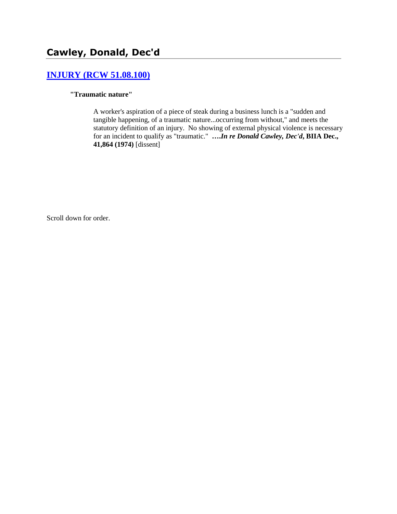# **[INJURY \(RCW 51.08.100\)](http://www.biia.wa.gov/SDSubjectIndex.html#INJURY)**

#### **"Traumatic nature"**

A worker's aspiration of a piece of steak during a business lunch is a "sudden and tangible happening, of a traumatic nature...occurring from without," and meets the statutory definition of an injury. No showing of external physical violence is necessary for an incident to qualify as "traumatic." **….***In re Donald Cawley, Dec'd***, BIIA Dec., 41,864 (1974)** [dissent]

Scroll down for order.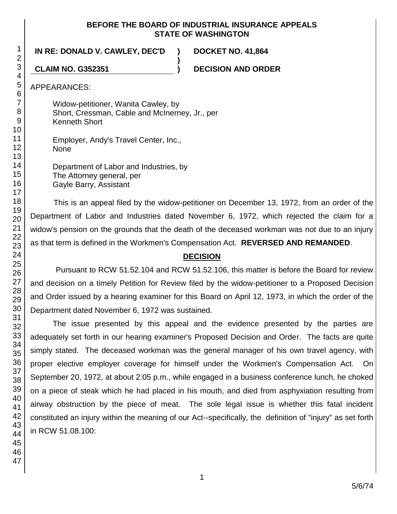### **BEFORE THE BOARD OF INDUSTRIAL INSURANCE APPEALS STATE OF WASHINGTON**

**)**

**IN RE: DONALD V. CAWLEY, DEC'D ) DOCKET NO. 41,864**

**CLAIM NO. G352351 ) DECISION AND ORDER**

APPEARANCES:

Widow-petitioner, Wanita Cawley, by Short, Cressman, Cable and McInerney, Jr., per Kenneth Short

Employer, Andy's Travel Center, Inc., None

Department of Labor and Industries, by The Attorney general, per Gayle Barry, Assistant

This is an appeal filed by the widow-petitioner on December 13, 1972, from an order of the Department of Labor and Industries dated November 6, 1972, which rejected the claim for a widow's pension on the grounds that the death of the deceased workman was not due to an injury as that term is defined in the Workmen's Compensation Act. **REVERSED AND REMANDED**.

# **DECISION**

Pursuant to RCW 51.52.104 and RCW 51.52.106, this matter is before the Board for review and decision on a timely Petition for Review filed by the widow-petitioner to a Proposed Decision and Order issued by a hearing examiner for this Board on April 12, 1973, in which the order of the Department dated November 6, 1972 was sustained.

The issue presented by this appeal and the evidence presented by the parties are adequately set forth in our hearing examiner's Proposed Decision and Order. The facts are quite simply stated. The deceased workman was the general manager of his own travel agency, with proper elective employer coverage for himself under the Workmen's Compensation Act. On September 20, 1972, at about 2:05 p.m., while engaged in a business conference lunch, he choked on a piece of steak which he had placed in his mouth, and died from asphyxiation resulting from airway obstruction by the piece of meat. The sole legal issue is whether this fatal incident constituted an injury within the meaning of our Act--specifically, the definition of "injury" as set forth in RCW 51.08.100: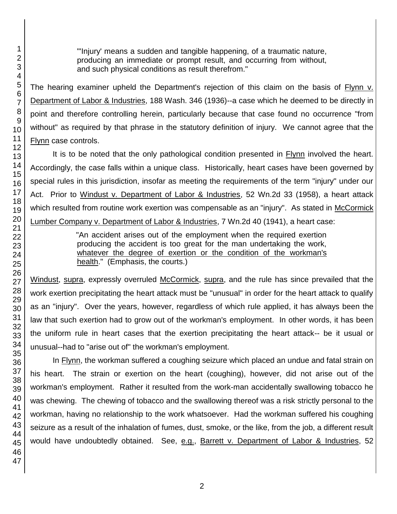"'Injury' means a sudden and tangible happening, of a traumatic nature, producing an immediate or prompt result, and occurring from without, and such physical conditions as result therefrom."

The hearing examiner upheld the Department's rejection of this claim on the basis of Flynn v. Department of Labor & Industries, 188 Wash. 346 (1936)--a case which he deemed to be directly in point and therefore controlling herein, particularly because that case found no occurrence "from without" as required by that phrase in the statutory definition of injury. We cannot agree that the Flynn case controls.

It is to be noted that the only pathological condition presented in Flynn involved the heart. Accordingly, the case falls within a unique class. Historically, heart cases have been governed by special rules in this jurisdiction, insofar as meeting the requirements of the term "injury" under our Act. Prior to Windust v. Department of Labor & Industries, 52 Wn.2d 33 (1958), a heart attack which resulted from routine work exertion was compensable as an "injury". As stated in McCormick Lumber Company v. Department of Labor & Industries, 7 Wn.2d 40 (1941), a heart case:

> "An accident arises out of the employment when the required exertion producing the accident is too great for the man undertaking the work, whatever the degree of exertion or the condition of the workman's health." (Emphasis, the courts.)

Windust, supra, expressly overruled McCormick, supra, and the rule has since prevailed that the work exertion precipitating the heart attack must be "unusual" in order for the heart attack to qualify as an "injury". Over the years, however, regardless of which rule applied, it has always been the law that such exertion had to grow out of the workman's employment. In other words, it has been the uniform rule in heart cases that the exertion precipitating the heart attack-- be it usual or unusual--had to "arise out of" the workman's employment.

In Flynn, the workman suffered a coughing seizure which placed an undue and fatal strain on his heart. The strain or exertion on the heart (coughing), however, did not arise out of the workman's employment. Rather it resulted from the work-man accidentally swallowing tobacco he was chewing. The chewing of tobacco and the swallowing thereof was a risk strictly personal to the workman, having no relationship to the work whatsoever. Had the workman suffered his coughing seizure as a result of the inhalation of fumes, dust, smoke, or the like, from the job, a different result would have undoubtedly obtained. See, e.g., Barrett v. Department of Labor & Industries, 52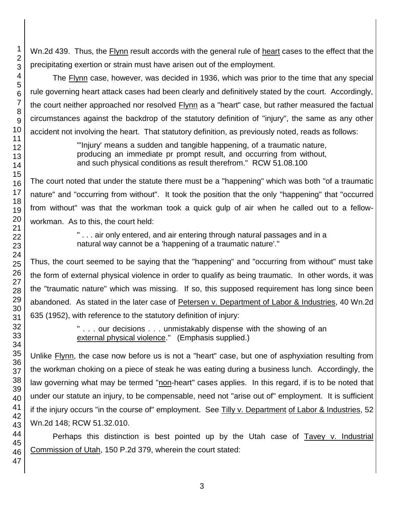Wn.2d 439. Thus, the Flynn result accords with the general rule of heart cases to the effect that the precipitating exertion or strain must have arisen out of the employment.

The **Flynn** case, however, was decided in 1936, which was prior to the time that any special rule governing heart attack cases had been clearly and definitively stated by the court. Accordingly, the court neither approached nor resolved Flynn as a "heart" case, but rather measured the factual circumstances against the backdrop of the statutory definition of "injury", the same as any other accident not involving the heart. That statutory definition, as previously noted, reads as follows:

> "'Injury' means a sudden and tangible happening, of a traumatic nature, producing an immediate pr prompt result, and occurring from without, and such physical conditions as result therefrom." RCW 51.08.100

The court noted that under the statute there must be a "happening" which was both "of a traumatic nature" and "occurring from without". It took the position that the only "happening" that "occurred from without" was that the workman took a quick gulp of air when he called out to a fellowworkman. As to this, the court held:

> " . . . air only entered, and air entering through natural passages and in a natural way cannot be a 'happening of a traumatic nature'."

Thus, the court seemed to be saying that the "happening" and "occurring from without" must take the form of external physical violence in order to qualify as being traumatic. In other words, it was the "traumatic nature" which was missing. If so, this supposed requirement has long since been abandoned. As stated in the later case of Petersen v. Department of Labor & Industries, 40 Wn.2d 635 (1952), with reference to the statutory definition of injury:

> " . . . our decisions . . . unmistakably dispense with the showing of an external physical violence." (Emphasis supplied.)

Unlike **Flynn**, the case now before us is not a "heart" case, but one of asphyxiation resulting from the workman choking on a piece of steak he was eating during a business lunch. Accordingly, the law governing what may be termed "non-heart" cases applies. In this regard, if is to be noted that under our statute an injury, to be compensable, need not "arise out of" employment. It is sufficient if the injury occurs "in the course of" employment. See Tilly v. Department of Labor & Industries, 52 Wn.2d 148; RCW 51.32.010.

Perhaps this distinction is best pointed up by the Utah case of Tavey v. Industrial Commission of Utah, 150 P.2d 379, wherein the court stated: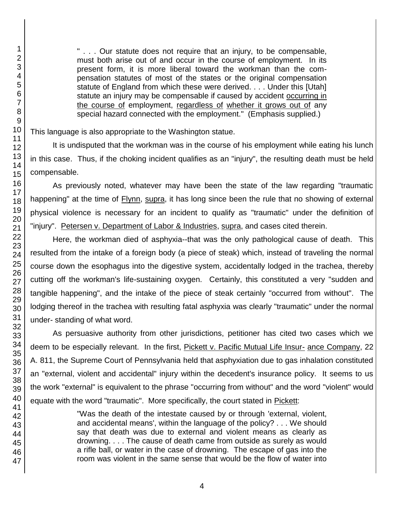1

" . . . Our statute does not require that an injury, to be compensable, must both arise out of and occur in the course of employment. In its present form, it is more liberal toward the workman than the compensation statutes of most of the states or the original compensation statute of England from which these were derived. . . . Under this [Utah] statute an injury may be compensable if caused by accident occurring in the course of employment, regardless of whether it grows out of any special hazard connected with the employment." (Emphasis supplied.)

This language is also appropriate to the Washington statue.

It is undisputed that the workman was in the course of his employment while eating his lunch in this case. Thus, if the choking incident qualifies as an "injury", the resulting death must be held compensable.

As previously noted, whatever may have been the state of the law regarding "traumatic happening" at the time of Flynn, supra, it has long since been the rule that no showing of external physical violence is necessary for an incident to qualify as "traumatic" under the definition of "injury". Petersen v. Department of Labor & Industries, supra, and cases cited therein.

Here, the workman died of asphyxia--that was the only pathological cause of death. This resulted from the intake of a foreign body (a piece of steak) which, instead of traveling the normal course down the esophagus into the digestive system, accidentally lodged in the trachea, thereby cutting off the workman's life-sustaining oxygen. Certainly, this constituted a very "sudden and tangible happening", and the intake of the piece of steak certainly "occurred from without". The lodging thereof in the trachea with resulting fatal asphyxia was clearly "traumatic" under the normal under- standing of what word.

As persuasive authority from other jurisdictions, petitioner has cited two cases which we deem to be especially relevant. In the first, Pickett v. Pacific Mutual Life Insur- ance Company, 22 A. 811, the Supreme Court of Pennsylvania held that asphyxiation due to gas inhalation constituted an "external, violent and accidental" injury within the decedent's insurance policy. It seems to us the work "external" is equivalent to the phrase "occurring from without" and the word "violent" would equate with the word "traumatic". More specifically, the court stated in Pickett:

> "Was the death of the intestate caused by or through 'external, violent, and accidental means', within the language of the policy? . . . We should say that death was due to external and violent means as clearly as drowning. . . . The cause of death came from outside as surely as would a rifle ball, or water in the case of drowning. The escape of gas into the room was violent in the same sense that would be the flow of water into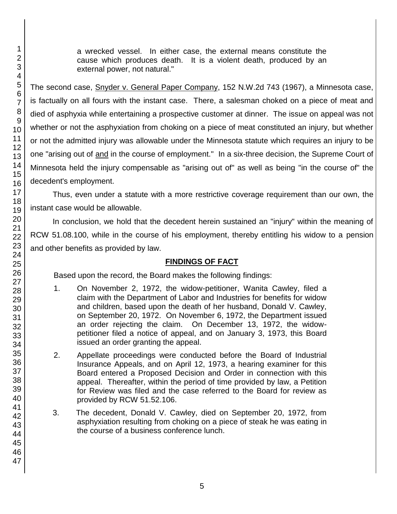a wrecked vessel. In either case, the external means constitute the cause which produces death. It is a violent death, produced by an external power, not natural."

The second case, Snyder v. General Paper Company, 152 N.W.2d 743 (1967), a Minnesota case, is factually on all fours with the instant case. There, a salesman choked on a piece of meat and died of asphyxia while entertaining a prospective customer at dinner. The issue on appeal was not whether or not the asphyxiation from choking on a piece of meat constituted an injury, but whether or not the admitted injury was allowable under the Minnesota statute which requires an injury to be one "arising out of and in the course of employment." In a six-three decision, the Supreme Court of Minnesota held the injury compensable as "arising out of" as well as being "in the course of" the decedent's employment.

Thus, even under a statute with a more restrictive coverage requirement than our own, the instant case would be allowable.

In conclusion, we hold that the decedent herein sustained an "injury" within the meaning of RCW 51.08.100, while in the course of his employment, thereby entitling his widow to a pension and other benefits as provided by law.

# **FINDINGS OF FACT**

Based upon the record, the Board makes the following findings:

- 1. On November 2, 1972, the widow-petitioner, Wanita Cawley, filed a claim with the Department of Labor and Industries for benefits for widow and children, based upon the death of her husband, Donald V. Cawley, on September 20, 1972. On November 6, 1972, the Department issued an order rejecting the claim. On December 13, 1972, the widowpetitioner filed a notice of appeal, and on January 3, 1973, this Board issued an order granting the appeal.
- 2. Appellate proceedings were conducted before the Board of Industrial Insurance Appeals, and on April 12, 1973, a hearing examiner for this Board entered a Proposed Decision and Order in connection with this appeal. Thereafter, within the period of time provided by law, a Petition for Review was filed and the case referred to the Board for review as provided by RCW 51.52.106.
- 3. The decedent, Donald V. Cawley, died on September 20, 1972, from asphyxiation resulting from choking on a piece of steak he was eating in the course of a business conference lunch.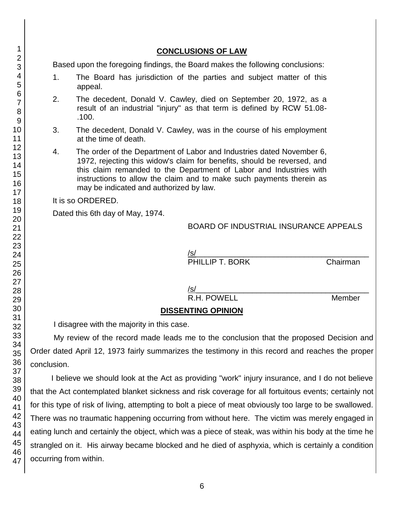47

## **CONCLUSIONS OF LAW**

Based upon the foregoing findings, the Board makes the following conclusions:

- 1. The Board has jurisdiction of the parties and subject matter of this appeal.
- 2. The decedent, Donald V. Cawley, died on September 20, 1972, as a result of an industrial "injury" as that term is defined by RCW 51.08- .100.
- 3. The decedent, Donald V. Cawley, was in the course of his employment at the time of death.
- 4. The order of the Department of Labor and Industries dated November 6, 1972, rejecting this widow's claim for benefits, should be reversed, and this claim remanded to the Department of Labor and Industries with instructions to allow the claim and to make such payments therein as may be indicated and authorized by law.

It is so ORDERED.

Dated this 6th day of May, 1974.

## BOARD OF INDUSTRIAL INSURANCE APPEALS

/s/\_\_\_\_\_\_\_\_\_\_\_\_\_\_\_\_\_\_\_\_\_\_\_\_\_\_\_\_\_\_\_\_\_\_\_\_\_\_\_\_ PHILLIP T. BORK Chairman

/s/\_\_\_\_\_\_\_\_\_\_\_\_\_\_\_\_\_\_\_\_\_\_\_\_\_\_\_\_\_\_\_\_\_\_\_\_\_\_\_\_

R.H. POWELL Member

# **DISSENTING OPINION**

I disagree with the majority in this case.

My review of the record made leads me to the conclusion that the proposed Decision and Order dated April 12, 1973 fairly summarizes the testimony in this record and reaches the proper conclusion.

I believe we should look at the Act as providing "work" injury insurance, and I do not believe that the Act contemplated blanket sickness and risk coverage for all fortuitous events; certainly not for this type of risk of living, attempting to bolt a piece of meat obviously too large to be swallowed. There was no traumatic happening occurring from without here. The victim was merely engaged in eating lunch and certainly the object, which was a piece of steak, was within his body at the time he strangled on it. His airway became blocked and he died of asphyxia, which is certainly a condition occurring from within.